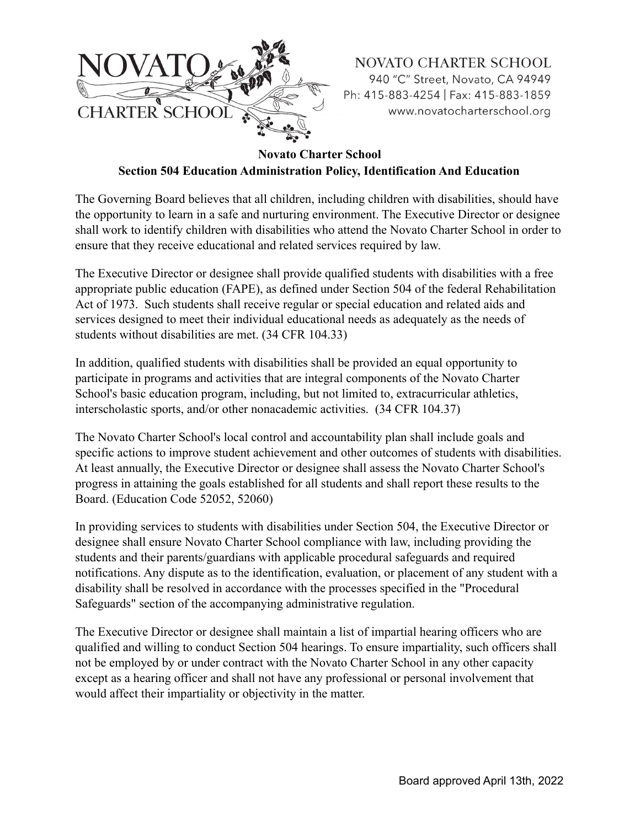

**Novato Charter School**

**Section 504 Education Administration Policy, Identification And Education**

The Governing Board believes that all children, including children with disabilities, should have the opportunity to learn in a safe and nurturing environment. The Executive Director or designee shall work to identify children with disabilities who attend the Novato Charter School in order to ensure that they receive educational and related services required by law.

The Executive Director or designee shall provide qualified students with disabilities with a free appropriate public education (FAPE), as defined under Section 504 of the federal Rehabilitation Act of 1973. Such students shall receive regular or special education and related aids and services designed to meet their individual educational needs as adequately as the needs of students without disabilities are met. (34 CFR 104.33)

In addition, qualified students with disabilities shall be provided an equal opportunity to participate in programs and activities that are integral components of the Novato Charter School's basic education program, including, but not limited to, extracurricular athletics, interscholastic sports, and/or other nonacademic activities. (34 CFR 104.37)

The Novato Charter School's local control and accountability plan shall include goals and specific actions to improve student achievement and other outcomes of students with disabilities. At least annually, the Executive Director or designee shall assess the Novato Charter School's progress in attaining the goals established for all students and shall report these results to the Board. (Education Code 52052, 52060)

In providing services to students with disabilities under Section 504, the Executive Director or designee shall ensure Novato Charter School compliance with law, including providing the students and their parents/guardians with applicable procedural safeguards and required notifications. Any dispute as to the identification, evaluation, or placement of any student with a disability shall be resolved in accordance with the processes specified in the "Procedural Safeguards" section of the accompanying administrative regulation.

The Executive Director or designee shall maintain a list of impartial hearing officers who are qualified and willing to conduct Section 504 hearings. To ensure impartiality, such officers shall not be employed by or under contract with the Novato Charter School in any other capacity except as a hearing officer and shall not have any professional or personal involvement that would affect their impartiality or objectivity in the matter.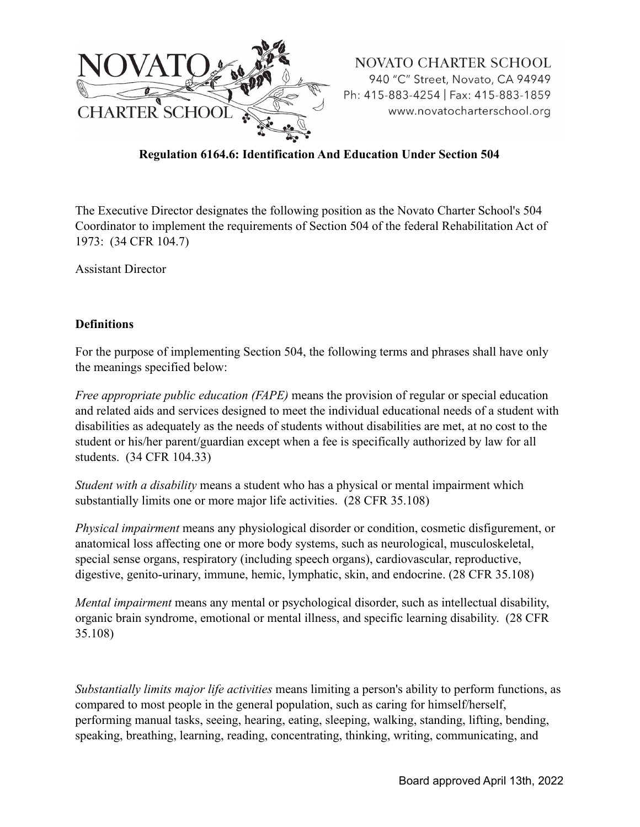

## **Regulation 6164.6: Identification And Education Under Section 504**

The Executive Director designates the following position as the Novato Charter School's 504 Coordinator to implement the requirements of Section 504 of the federal Rehabilitation Act of 1973: (34 CFR 104.7)

Assistant Director

#### **Definitions**

For the purpose of implementing Section 504, the following terms and phrases shall have only the meanings specified below:

*Free appropriate public education (FAPE)* means the provision of regular or special education and related aids and services designed to meet the individual educational needs of a student with disabilities as adequately as the needs of students without disabilities are met, at no cost to the student or his/her parent/guardian except when a fee is specifically authorized by law for all students. (34 CFR 104.33)

*Student with a disability* means a student who has a physical or mental impairment which substantially limits one or more major life activities. (28 CFR 35.108)

*Physical impairment* means any physiological disorder or condition, cosmetic disfigurement, or anatomical loss affecting one or more body systems, such as neurological, musculoskeletal, special sense organs, respiratory (including speech organs), cardiovascular, reproductive, digestive, genito-urinary, immune, hemic, lymphatic, skin, and endocrine. (28 CFR 35.108)

*Mental impairment* means any mental or psychological disorder, such as intellectual disability, organic brain syndrome, emotional or mental illness, and specific learning disability. (28 CFR 35.108)

*Substantially limits major life activities* means limiting a person's ability to perform functions, as compared to most people in the general population, such as caring for himself/herself, performing manual tasks, seeing, hearing, eating, sleeping, walking, standing, lifting, bending, speaking, breathing, learning, reading, concentrating, thinking, writing, communicating, and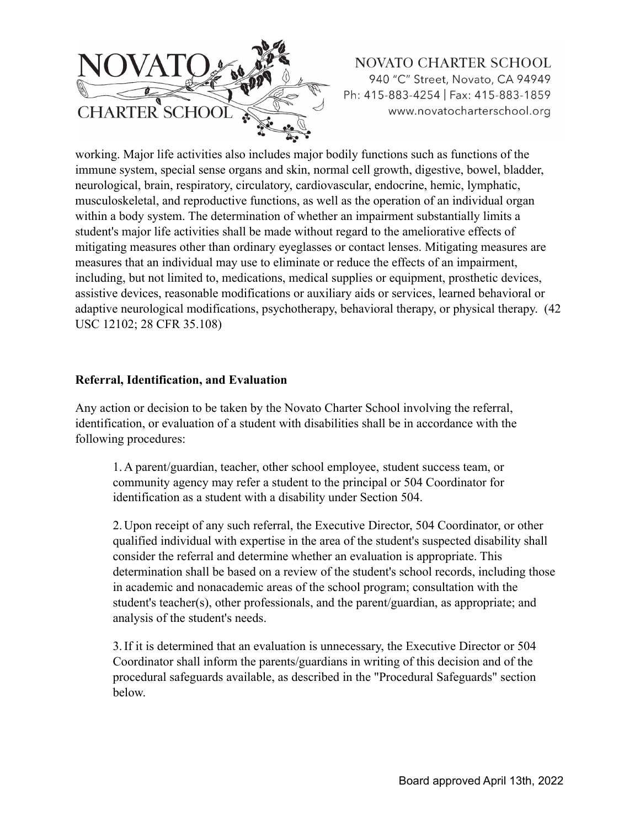

working. Major life activities also includes major bodily functions such as functions of the immune system, special sense organs and skin, normal cell growth, digestive, bowel, bladder, neurological, brain, respiratory, circulatory, cardiovascular, endocrine, hemic, lymphatic, musculoskeletal, and reproductive functions, as well as the operation of an individual organ within a body system. The determination of whether an impairment substantially limits a student's major life activities shall be made without regard to the ameliorative effects of mitigating measures other than ordinary eyeglasses or contact lenses. Mitigating measures are measures that an individual may use to eliminate or reduce the effects of an impairment, including, but not limited to, medications, medical supplies or equipment, prosthetic devices, assistive devices, reasonable modifications or auxiliary aids or services, learned behavioral or adaptive neurological modifications, psychotherapy, behavioral therapy, or physical therapy. (42 USC 12102; 28 CFR 35.108)

#### **Referral, Identification, and Evaluation**

Any action or decision to be taken by the Novato Charter School involving the referral, identification, or evaluation of a student with disabilities shall be in accordance with the following procedures:

1. A parent/guardian, teacher, other school employee, student success team, or community agency may refer a student to the principal or 504 Coordinator for identification as a student with a disability under Section 504.

2. Upon receipt of any such referral, the Executive Director, 504 Coordinator, or other qualified individual with expertise in the area of the student's suspected disability shall consider the referral and determine whether an evaluation is appropriate. This determination shall be based on a review of the student's school records, including those in academic and nonacademic areas of the school program; consultation with the student's teacher(s), other professionals, and the parent/guardian, as appropriate; and analysis of the student's needs.

3.If it is determined that an evaluation is unnecessary, the Executive Director or 504 Coordinator shall inform the parents/guardians in writing of this decision and of the procedural safeguards available, as described in the "Procedural Safeguards" section below.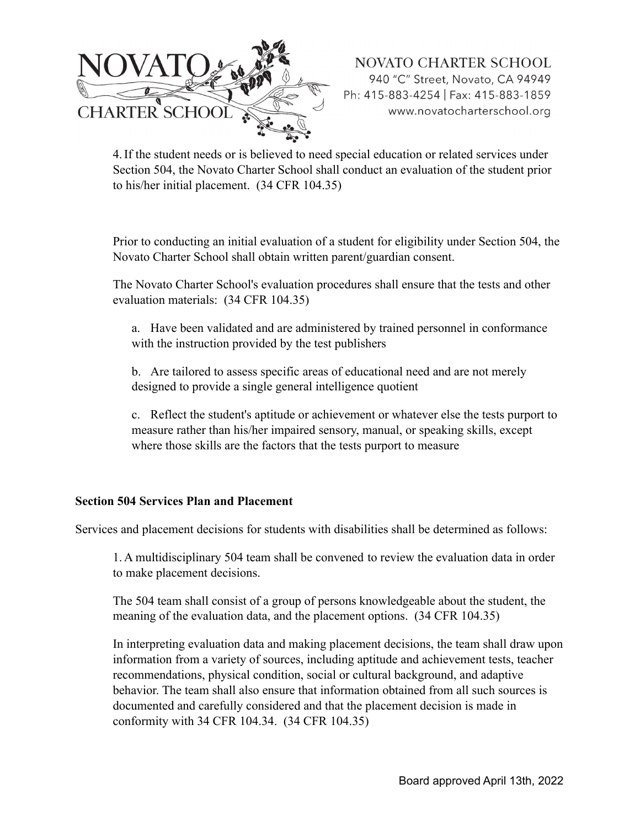

4.If the student needs or is believed to need special education or related services under Section 504, the Novato Charter School shall conduct an evaluation of the student prior to his/her initial placement. (34 CFR 104.35)

Prior to conducting an initial evaluation of a student for eligibility under Section 504, the Novato Charter School shall obtain written parent/guardian consent.

The Novato Charter School's evaluation procedures shall ensure that the tests and other evaluation materials: (34 CFR 104.35)

a. Have been validated and are administered by trained personnel in conformance with the instruction provided by the test publishers

b. Are tailored to assess specific areas of educational need and are not merely designed to provide a single general intelligence quotient

c. Reflect the student's aptitude or achievement or whatever else the tests purport to measure rather than his/her impaired sensory, manual, or speaking skills, except where those skills are the factors that the tests purport to measure

### **Section 504 Services Plan and Placement**

Services and placement decisions for students with disabilities shall be determined as follows:

1. A multidisciplinary 504 team shall be convened to review the evaluation data in order to make placement decisions.

The 504 team shall consist of a group of persons knowledgeable about the student, the meaning of the evaluation data, and the placement options. (34 CFR 104.35)

In interpreting evaluation data and making placement decisions, the team shall draw upon information from a variety of sources, including aptitude and achievement tests, teacher recommendations, physical condition, social or cultural background, and adaptive behavior. The team shall also ensure that information obtained from all such sources is documented and carefully considered and that the placement decision is made in conformity with 34 CFR 104.34. (34 CFR 104.35)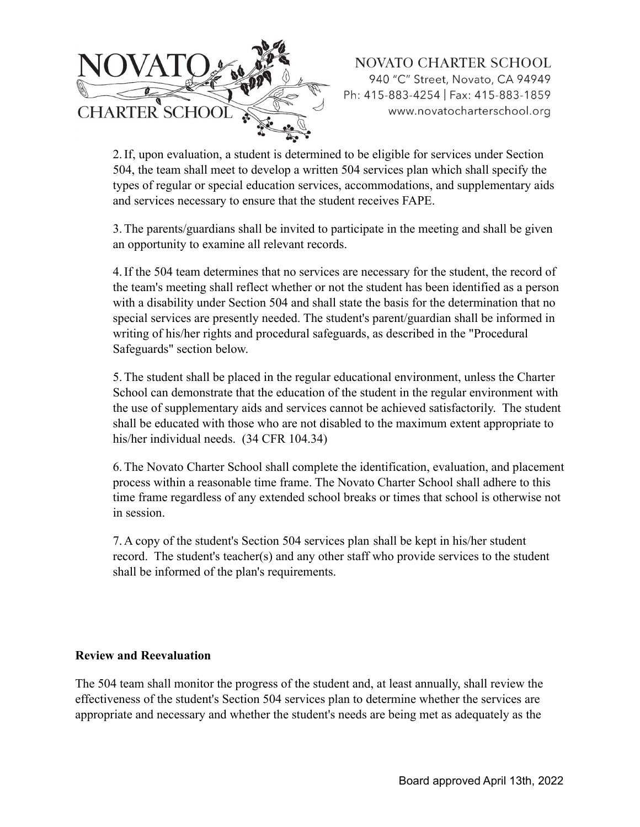

2.If, upon evaluation, a student is determined to be eligible for services under Section 504, the team shall meet to develop a written 504 services plan which shall specify the types of regular or special education services, accommodations, and supplementary aids and services necessary to ensure that the student receives FAPE.

3.The parents/guardians shall be invited to participate in the meeting and shall be given an opportunity to examine all relevant records.

4.If the 504 team determines that no services are necessary for the student, the record of the team's meeting shall reflect whether or not the student has been identified as a person with a disability under Section 504 and shall state the basis for the determination that no special services are presently needed. The student's parent/guardian shall be informed in writing of his/her rights and procedural safeguards, as described in the "Procedural Safeguards" section below.

5.The student shall be placed in the regular educational environment, unless the Charter School can demonstrate that the education of the student in the regular environment with the use of supplementary aids and services cannot be achieved satisfactorily. The student shall be educated with those who are not disabled to the maximum extent appropriate to his/her individual needs. (34 CFR 104.34)

6.The Novato Charter School shall complete the identification, evaluation, and placement process within a reasonable time frame. The Novato Charter School shall adhere to this time frame regardless of any extended school breaks or times that school is otherwise not in session.

7. A copy of the student's Section 504 services plan shall be kept in his/her student record. The student's teacher(s) and any other staff who provide services to the student shall be informed of the plan's requirements.

### **Review and Reevaluation**

The 504 team shall monitor the progress of the student and, at least annually, shall review the effectiveness of the student's Section 504 services plan to determine whether the services are appropriate and necessary and whether the student's needs are being met as adequately as the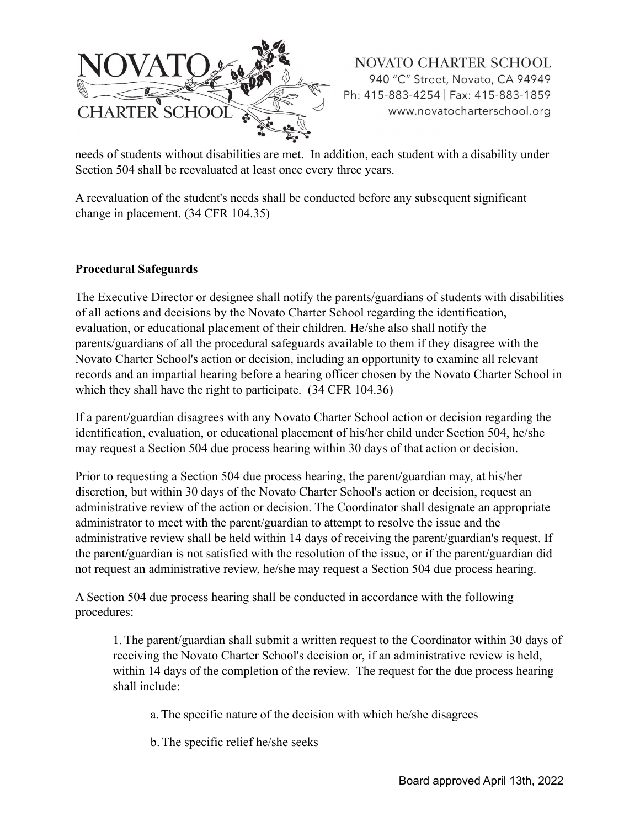

needs of students without disabilities are met. In addition, each student with a disability under Section 504 shall be reevaluated at least once every three years.

A reevaluation of the student's needs shall be conducted before any subsequent significant change in placement. (34 CFR 104.35)

### **Procedural Safeguards**

The Executive Director or designee shall notify the parents/guardians of students with disabilities of all actions and decisions by the Novato Charter School regarding the identification, evaluation, or educational placement of their children. He/she also shall notify the parents/guardians of all the procedural safeguards available to them if they disagree with the Novato Charter School's action or decision, including an opportunity to examine all relevant records and an impartial hearing before a hearing officer chosen by the Novato Charter School in which they shall have the right to participate. (34 CFR 104.36)

If a parent/guardian disagrees with any Novato Charter School action or decision regarding the identification, evaluation, or educational placement of his/her child under Section 504, he/she may request a Section 504 due process hearing within 30 days of that action or decision.

Prior to requesting a Section 504 due process hearing, the parent/guardian may, at his/her discretion, but within 30 days of the Novato Charter School's action or decision, request an administrative review of the action or decision. The Coordinator shall designate an appropriate administrator to meet with the parent/guardian to attempt to resolve the issue and the administrative review shall be held within 14 days of receiving the parent/guardian's request. If the parent/guardian is not satisfied with the resolution of the issue, or if the parent/guardian did not request an administrative review, he/she may request a Section 504 due process hearing.

A Section 504 due process hearing shall be conducted in accordance with the following procedures:

1.The parent/guardian shall submit a written request to the Coordinator within 30 days of receiving the Novato Charter School's decision or, if an administrative review is held, within 14 days of the completion of the review. The request for the due process hearing shall include:

a.The specific nature of the decision with which he/she disagrees

b.The specific relief he/she seeks